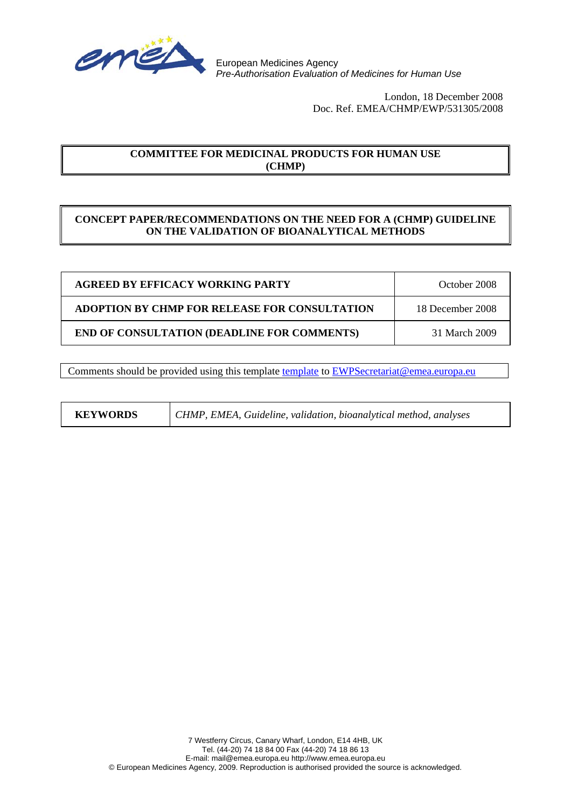

European Medicines Agency *Pre-Authorisation Evaluation of Medicines for Human Use*

> London, 18 December 2008 Doc. Ref. EMEA/CHMP/EWP/531305/2008

# **COMMITTEE FOR MEDICINAL PRODUCTS FOR HUMAN USE (CHMP)**

# **CONCEPT PAPER/RECOMMENDATIONS ON THE NEED FOR A (CHMP) GUIDELINE ON THE VALIDATION OF BIOANALYTICAL METHODS**

| <b>AGREED BY EFFICACY WORKING PARTY</b>              | October 2008     |
|------------------------------------------------------|------------------|
| <b>ADOPTION BY CHMP FOR RELEASE FOR CONSULTATION</b> | 18 December 2008 |
| <b>END OF CONSULTATION (DEADLINE FOR COMMENTS)</b>   | 31 March 2009    |

Comments should be provided using this [template](http://www.emea.europa.eu/pdfs/human/regaffair/submitcomment.doc) template to EWPSecretariat@emea.europa.eu

| <b>KEYWORDS</b> | CHMP, EMEA, Guideline, validation, bioanalytical method, analyses |
|-----------------|-------------------------------------------------------------------|
|-----------------|-------------------------------------------------------------------|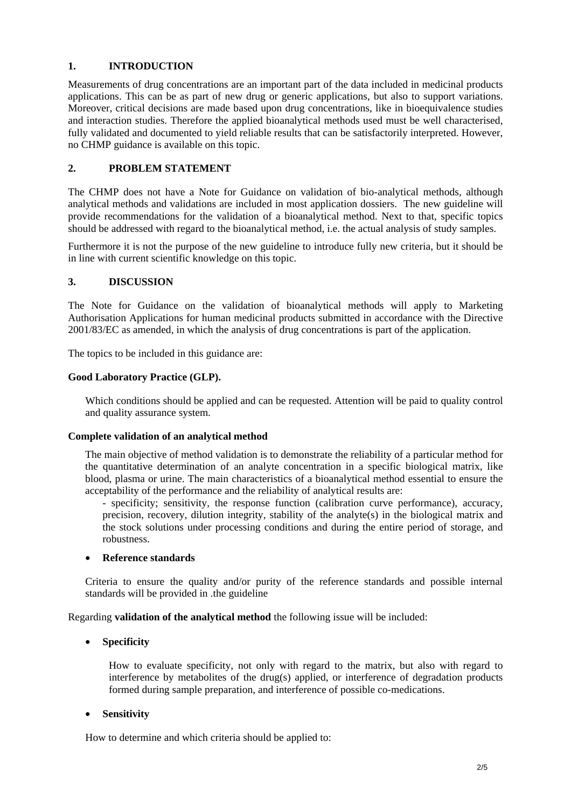## **1. INTRODUCTION**

Measurements of drug concentrations are an important part of the data included in medicinal products applications. This can be as part of new drug or generic applications, but also to support variations. Moreover, critical decisions are made based upon drug concentrations, like in bioequivalence studies and interaction studies. Therefore the applied bioanalytical methods used must be well characterised, fully validated and documented to yield reliable results that can be satisfactorily interpreted. However, no CHMP guidance is available on this topic.

# **2. PROBLEM STATEMENT**

The CHMP does not have a Note for Guidance on validation of bio-analytical methods, although analytical methods and validations are included in most application dossiers. The new guideline will provide recommendations for the validation of a bioanalytical method. Next to that, specific topics should be addressed with regard to the bioanalytical method, i.e. the actual analysis of study samples.

Furthermore it is not the purpose of the new guideline to introduce fully new criteria, but it should be in line with current scientific knowledge on this topic.

## **3. DISCUSSION**

The Note for Guidance on the validation of bioanalytical methods will apply to Marketing Authorisation Applications for human medicinal products submitted in accordance with the Directive 2001/83/EC as amended, in which the analysis of drug concentrations is part of the application.

The topics to be included in this guidance are:

## **Good Laboratory Practice (GLP).**

Which conditions should be applied and can be requested. Attention will be paid to quality control and quality assurance system.

#### **Complete validation of an analytical method**

The main objective of method validation is to demonstrate the reliability of a particular method for the quantitative determination of an analyte concentration in a specific biological matrix, like blood, plasma or urine. The main characteristics of a bioanalytical method essential to ensure the acceptability of the performance and the reliability of analytical results are:

- specificity; sensitivity, the response function (calibration curve performance), accuracy, precision, recovery, dilution integrity, stability of the analyte(s) in the biological matrix and the stock solutions under processing conditions and during the entire period of storage, and robustness.

#### • **Reference standards**

Criteria to ensure the quality and/or purity of the reference standards and possible internal standards will be provided in .the guideline

Regarding **validation of the analytical method** the following issue will be included:

## • **Specificity**

How to evaluate specificity, not only with regard to the matrix, but also with regard to interference by metabolites of the drug(s) applied, or interference of degradation products formed during sample preparation, and interference of possible co-medications.

#### • **Sensitivity**

How to determine and which criteria should be applied to: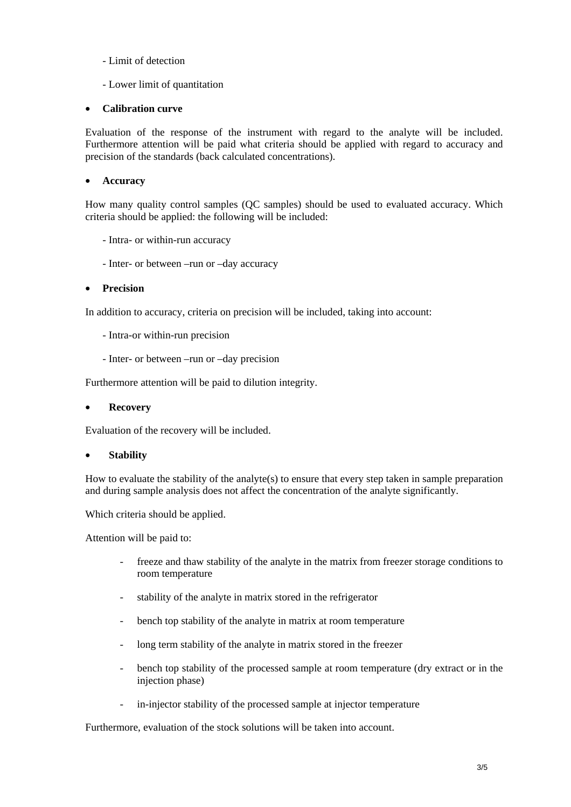- Limit of detection
- Lower limit of quantitation

## • **Calibration curve**

Evaluation of the response of the instrument with regard to the analyte will be included. Furthermore attention will be paid what criteria should be applied with regard to accuracy and precision of the standards (back calculated concentrations).

## • **Accuracy**

How many quality control samples (QC samples) should be used to evaluated accuracy. Which criteria should be applied: the following will be included:

- Intra- or within-run accuracy
- Inter- or between –run or –day accuracy

## • **Precision**

In addition to accuracy, criteria on precision will be included, taking into account:

- Intra-or within-run precision
- Inter- or between –run or –day precision

Furthermore attention will be paid to dilution integrity.

#### • **Recovery**

Evaluation of the recovery will be included.

#### • **Stability**

How to evaluate the stability of the analyte(s) to ensure that every step taken in sample preparation and during sample analysis does not affect the concentration of the analyte significantly.

Which criteria should be applied.

Attention will be paid to:

- freeze and thaw stability of the analyte in the matrix from freezer storage conditions to room temperature
- stability of the analyte in matrix stored in the refrigerator
- bench top stability of the analyte in matrix at room temperature
- long term stability of the analyte in matrix stored in the freezer
- bench top stability of the processed sample at room temperature (dry extract or in the injection phase)
- in-injector stability of the processed sample at injector temperature

Furthermore, evaluation of the stock solutions will be taken into account.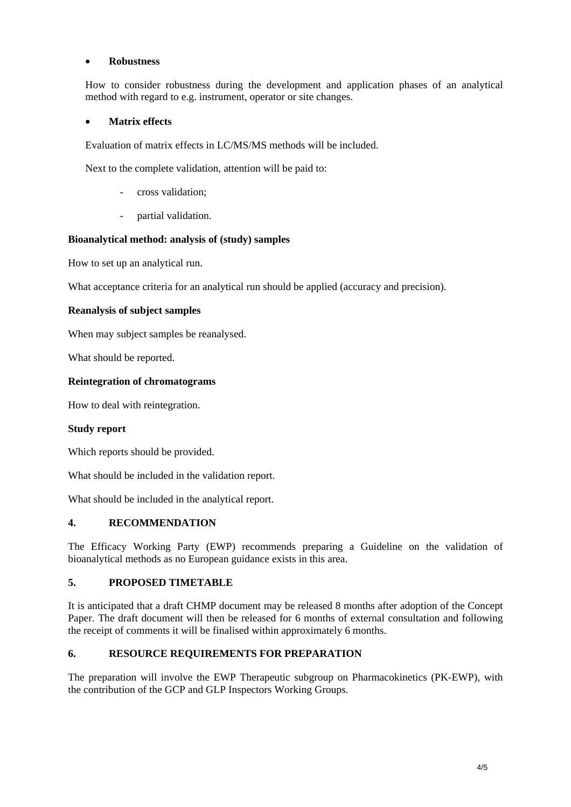## • **Robustness**

How to consider robustness during the development and application phases of an analytical method with regard to e.g. instrument, operator or site changes.

## • **Matrix effects**

Evaluation of matrix effects in LC/MS/MS methods will be included.

Next to the complete validation, attention will be paid to:

- cross validation:
- partial validation.

#### **Bioanalytical method: analysis of (study) samples**

How to set up an analytical run.

What acceptance criteria for an analytical run should be applied (accuracy and precision).

## **Reanalysis of subject samples**

When may subject samples be reanalysed.

What should be reported.

## **Reintegration of chromatograms**

How to deal with reintegration.

#### **Study report**

Which reports should be provided.

What should be included in the validation report.

What should be included in the analytical report.

#### **4. RECOMMENDATION**

The Efficacy Working Party (EWP) recommends preparing a Guideline on the validation of bioanalytical methods as no European guidance exists in this area.

#### **5. PROPOSED TIMETABLE**

It is anticipated that a draft CHMP document may be released 8 months after adoption of the Concept Paper. The draft document will then be released for 6 months of external consultation and following the receipt of comments it will be finalised within approximately 6 months.

## **6. RESOURCE REQUIREMENTS FOR PREPARATION**

The preparation will involve the EWP Therapeutic subgroup on Pharmacokinetics (PK-EWP), with the contribution of the GCP and GLP Inspectors Working Groups.